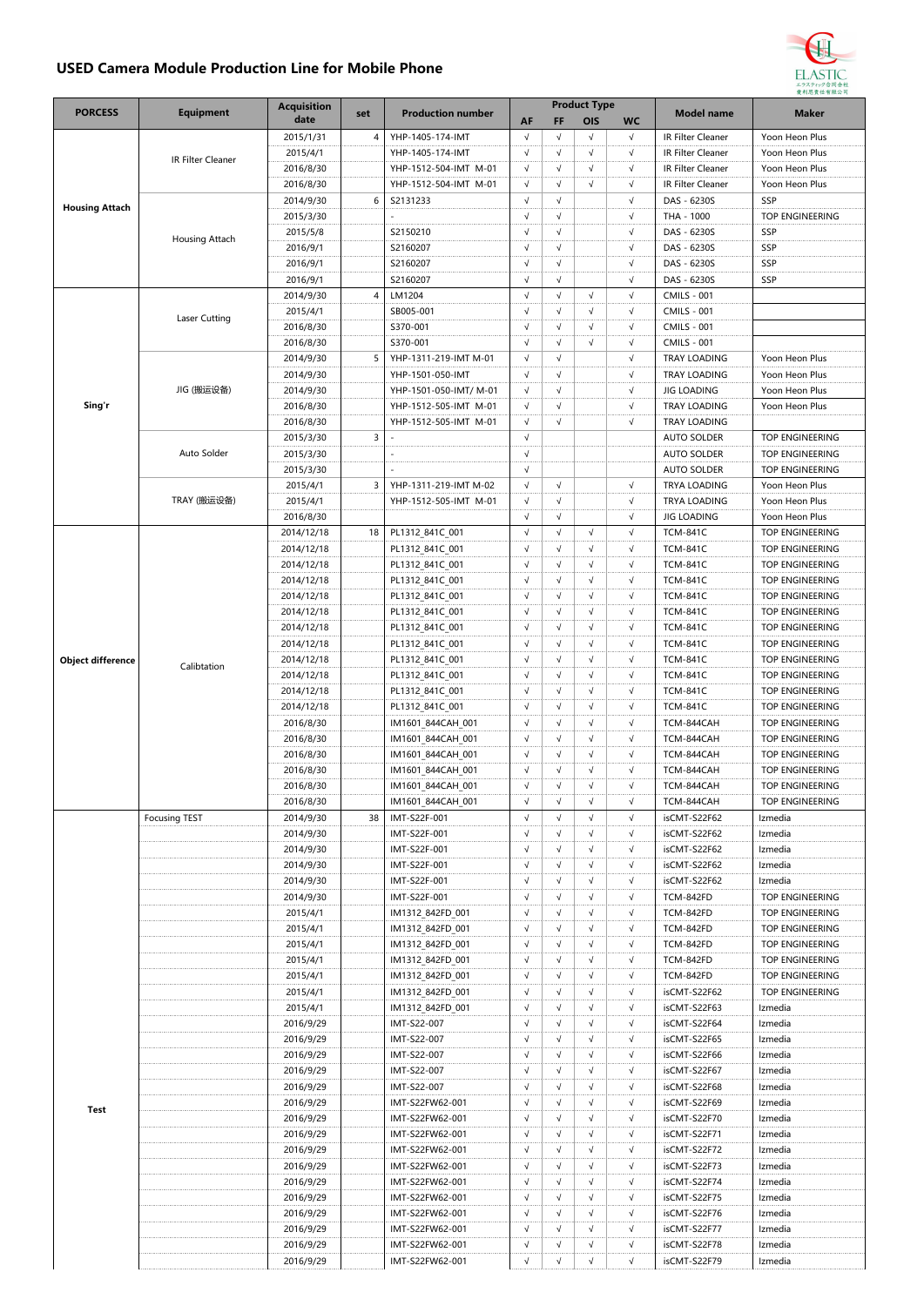## **USED Camera Module Production Line for Mobile Phone**



|                          |                      | <b>Acquisition</b> |     |                          | <b>Product Type</b> |            |            |            |                     |                                           |
|--------------------------|----------------------|--------------------|-----|--------------------------|---------------------|------------|------------|------------|---------------------|-------------------------------------------|
| <b>PORCESS</b>           | <b>Equipment</b>     | date               | set | <b>Production number</b> | AF                  | FF         | OIS        | <b>WC</b>  | <b>Model name</b>   | <b>Maker</b>                              |
|                          |                      | 2015/1/31          | 4   | YHP-1405-174-IMT         | $\sqrt{ }$          | $\sqrt{ }$ | $\sqrt{ }$ | $\sqrt{ }$ | IR Filter Cleaner   | Yoon Heon Plus                            |
|                          | IR Filter Cleaner    | 2015/4/1           |     | YHP-1405-174-IMT         | $\sqrt{ }$          | $\sqrt{ }$ | $\sqrt{}$  | $\sqrt{}$  | IR Filter Cleaner   | Yoon Heon Plus                            |
|                          |                      | 2016/8/30          |     | YHP-1512-504-IMT M-01    | $\sqrt{ }$          | $\sqrt{ }$ | $\sqrt{ }$ | $\sqrt{ }$ | IR Filter Cleaner   | Yoon Heon Plus                            |
|                          |                      | 2016/8/30          |     | YHP-1512-504-IMT M-01    | $\sqrt{}$           | $\sqrt{ }$ | $\sqrt{ }$ | $\sqrt{ }$ | IR Filter Cleaner   | Yoon Heon Plus                            |
| <b>Housing Attach</b>    |                      | 2014/9/30          | 6   | S2131233                 | $\sqrt{ }$          | $\sqrt{ }$ |            | $\sqrt{ }$ | DAS - 6230S         | SSP                                       |
|                          |                      | 2015/3/30          |     |                          | $\sqrt{ }$          | $\sqrt{ }$ |            | $\sqrt{ }$ | THA - 1000          | TOP ENGINEERING                           |
|                          | Housing Attach       | 2015/5/8           |     | S2150210                 | $\sqrt{ }$          | $\sqrt{ }$ |            | $\sqrt{ }$ | DAS - 6230S         | SSP                                       |
|                          |                      | 2016/9/1           |     | S2160207                 | $\sqrt{ }$          | $\sqrt{ }$ |            | $\sqrt{}$  | DAS - 6230S         | SSP                                       |
|                          |                      | 2016/9/1           |     | S2160207                 | $\sqrt{ }$          | $\sqrt{ }$ |            | $\sqrt{ }$ | DAS - 6230S         | SSP                                       |
|                          |                      | 2016/9/1           |     | S2160207                 | $\sqrt{ }$          | $\sqrt{ }$ |            | $\sqrt{ }$ | DAS - 6230S         | SSP                                       |
|                          |                      | 2014/9/30          | 4   | LM1204                   | $\sqrt{ }$          | $\sqrt{ }$ | $\sqrt{ }$ | $\sqrt{ }$ | <b>CMILS - 001</b>  |                                           |
|                          |                      | 2015/4/1           |     | SB005-001                | $\sqrt{ }$          | $\sqrt{ }$ | $\sqrt{ }$ | $\sqrt{}$  | <b>CMILS - 001</b>  |                                           |
|                          | Laser Cutting        | 2016/8/30          |     | S370-001                 | $\sqrt{ }$          | $\sqrt{ }$ | $\sqrt{ }$ | $\sqrt{ }$ | <b>CMILS - 001</b>  |                                           |
|                          |                      | 2016/8/30          |     | S370-001                 | $\sqrt{ }$          | $\sqrt{ }$ | $\sqrt{ }$ | $\sqrt{ }$ | <b>CMILS - 001</b>  |                                           |
|                          |                      | 2014/9/30          | 5   | YHP-1311-219-IMT M-01    | $\sqrt{ }$          | $\sqrt{ }$ |            | $\sqrt{ }$ | <b>TRAY LOADING</b> | Yoon Heon Plus                            |
|                          |                      | 2014/9/30          |     | YHP-1501-050-IMT         | $\sqrt{ }$          | $\sqrt{ }$ |            | $\sqrt{ }$ | TRAY LOADING        | Yoon Heon Plus                            |
|                          | JIG (搬运设备)           | 2014/9/30          |     | YHP-1501-050-IMT/ M-01   | $\sqrt{ }$          | $\sqrt{ }$ |            | $\sqrt{ }$ | <b>JIG LOADING</b>  | Yoon Heon Plus                            |
| Sing'r                   |                      | 2016/8/30          |     | YHP-1512-505-IMT M-01    | $\sqrt{ }$          | $\sqrt{ }$ |            | $\sqrt{}$  | TRAY LOADING        | Yoon Heon Plus                            |
|                          |                      | 2016/8/30          |     | YHP-1512-505-IMT M-01    | $\sqrt{ }$          | $\sqrt{ }$ |            | $\sqrt{ }$ | TRAY LOADING        |                                           |
|                          |                      | 2015/3/30          | 3   |                          | $\sqrt{ }$          |            |            |            | <b>AUTO SOLDER</b>  | TOP ENGINEERING                           |
|                          | Auto Solder          | 2015/3/30          |     |                          | $\sqrt{ }$          |            |            |            | <b>AUTO SOLDER</b>  | TOP ENGINEERING                           |
|                          |                      | 2015/3/30          |     |                          | $\sqrt{ }$          |            |            |            | <b>AUTO SOLDER</b>  | TOP ENGINEERING                           |
|                          |                      | 2015/4/1           | 3   | YHP-1311-219-IMT M-02    | $\sqrt{ }$          | $\sqrt{ }$ |            | $\sqrt{ }$ | TRYA LOADING        | Yoon Heon Plus                            |
|                          | TRAY (搬运设备)          | 2015/4/1           |     | YHP-1512-505-IMT M-01    | $\sqrt{ }$          | $\sqrt{ }$ |            | $\sqrt{ }$ | <b>TRYA LOADING</b> | Yoon Heon Plus                            |
|                          |                      | 2016/8/30          |     |                          | $\sqrt{}$           | $\sqrt{ }$ |            | $\sqrt{}$  | <b>JIG LOADING</b>  | Yoon Heon Plus                            |
|                          |                      | 2014/12/18         | 18  | PL1312 841C 001          | $\sqrt{ }$          | $\sqrt{ }$ | $\sqrt{ }$ | $\sqrt{ }$ | <b>TCM-841C</b>     | TOP ENGINEERING                           |
|                          |                      | 2014/12/18         |     | PL1312 841C 001          | $\sqrt{ }$          | $\sqrt{ }$ | $\sqrt{ }$ | $\sqrt{ }$ | <b>TCM-841C</b>     | TOP ENGINEERING                           |
|                          |                      | 2014/12/18         |     | PL1312_841C_001          | $\sqrt{ }$          | $\sqrt{ }$ | $\sqrt{}$  | $\sqrt{}$  | <b>TCM-841C</b>     | TOP ENGINEERING                           |
|                          |                      | 2014/12/18         |     | PL1312_841C_001          | $\sqrt{ }$          | $\sqrt{ }$ | $\sqrt{ }$ | $\sqrt{ }$ | <b>TCM-841C</b>     | TOP ENGINEERING                           |
|                          | Calibtation          | 2014/12/18         |     | PL1312_841C_001          | $\sqrt{ }$          | $\sqrt{ }$ | $\sqrt{ }$ | $\sqrt{ }$ | <b>TCM-841C</b>     | TOP ENGINEERING                           |
|                          |                      | 2014/12/18         |     | PL1312_841C_001          | $\sqrt{ }$          | $\sqrt{ }$ | $\sqrt{ }$ | $\sqrt{ }$ | <b>TCM-841C</b>     | TOP ENGINEERING                           |
|                          |                      | 2014/12/18         |     | PL1312_841C_001          | $\sqrt{ }$          | $\sqrt{ }$ | $\sqrt{ }$ | $\sqrt{}$  | <b>TCM-841C</b>     | TOP ENGINEERING                           |
|                          |                      | 2014/12/18         |     | PL1312_841C_001          | $\sqrt{ }$          | $\sqrt{ }$ | $\sqrt{ }$ | $\sqrt{ }$ | <b>TCM-841C</b>     | TOP ENGINEERING                           |
|                          |                      | 2014/12/18         |     | PL1312_841C_001          | $\sqrt{ }$          | $\sqrt{ }$ | $\sqrt{ }$ | $\sqrt{ }$ | <b>TCM-841C</b>     | TOP ENGINEERING                           |
| <b>Object difference</b> |                      | 2014/12/18         |     |                          | $\sqrt{ }$          | $\sqrt{ }$ | $\sqrt{ }$ | $\sqrt{ }$ | <b>TCM-841C</b>     | TOP ENGINEERING                           |
|                          |                      |                    |     | PL1312_841C_001          | $\sqrt{ }$          | $\sqrt{ }$ | $\sqrt{ }$ | $\sqrt{ }$ | <b>TCM-841C</b>     |                                           |
|                          |                      | 2014/12/18         |     | PL1312_841C_001          | $\sqrt{ }$          | $\sqrt{ }$ | $\sqrt{ }$ | $\sqrt{ }$ |                     | TOP ENGINEERING<br><b>TOP ENGINEERING</b> |
|                          |                      | 2014/12/18         |     | PL1312 841C 001          | $\sqrt{ }$          |            |            |            | <b>TCM-841C</b>     |                                           |
|                          |                      | 2016/8/30          |     | IM1601 844CAH 001        |                     | $\sqrt{ }$ | $\sqrt{}$  | $\sqrt{}$  | TCM-844CAH          | TOP ENGINEERING                           |
|                          |                      | 2016/8/30          |     | IM1601_844CAH_001        | $\sqrt{ }$          | $\sqrt{ }$ | $\sqrt{ }$ | $\sqrt{ }$ | TCM-844CAH          | TOP ENGINEERING                           |
|                          |                      | 2016/8/30          |     | IM1601_844CAH_001        | $\sqrt{ }$          | $\sqrt{ }$ | $\sqrt{ }$ | $\sqrt{ }$ | TCM-844CAH          | TOP ENGINEERING                           |
|                          |                      | 2016/8/30          |     | IM1601 844CAH 001        | $\sqrt{ }$          | $\sqrt{ }$ | $\sqrt{ }$ | $\sqrt{ }$ | TCM-844CAH          | TOP ENGINEERING                           |
|                          |                      | 2016/8/30          |     | IM1601_844CAH_001        | $\sqrt{ }$          | $\sqrt{ }$ | $\sqrt{ }$ | $\sqrt{ }$ | TCM-844CAH          | TOP ENGINEERING                           |
|                          |                      | 2016/8/30          |     | IM1601 844CAH 001        | $\sqrt{ }$          | $\sqrt{ }$ | $\sqrt{ }$ | $\sqrt{}$  | TCM-844CAH          | TOP ENGINEERING                           |
|                          | <b>Focusing TEST</b> | 2014/9/30          | 38  | IMT-S22F-001             | $\sqrt{ }$          | $\sqrt{ }$ | $\sqrt{ }$ | $\sqrt{ }$ | isCMT-S22F62        | Izmedia                                   |
|                          |                      | 2014/9/30          |     | IMT-S22F-001             | $\sqrt{ }$          | $\sqrt{ }$ | $\sqrt{}$  | $\sqrt{}$  | isCMT-S22F62        | Izmedia                                   |
|                          |                      | 2014/9/30          |     | IMT-S22F-001             | $\sqrt{}$           | $\sqrt{ }$ | $\sqrt{ }$ | $\sqrt{}$  | isCMT-S22F62        | Izmedia                                   |
|                          |                      | 2014/9/30          |     | IMT-S22F-001             | $\sqrt{ }$          | $\sqrt{ }$ | $\sqrt{ }$ | $\sqrt{ }$ | isCMT-S22F62        | Izmedia                                   |
|                          |                      | 2014/9/30          |     | IMT-S22F-001             | $\sqrt{ }$          | $\sqrt{ }$ | $\sqrt{}$  | $\sqrt{}$  | isCMT-S22F62        | Izmedia                                   |
|                          |                      | 2014/9/30          |     | IMT-S22F-001             | $\sqrt{ }$          | $\sqrt{ }$ | $\sqrt{ }$ | $\sqrt{}$  | TCM-842FD           | TOP ENGINEERING                           |
| Test                     |                      | 2015/4/1           |     | IM1312 842FD 001         | $\sqrt{ }$          | $\sqrt{ }$ | $\sqrt{ }$ | $\sqrt{ }$ | TCM-842FD           | <b>TOP ENGINEERING</b>                    |
|                          |                      | 2015/4/1           |     | IM1312_842FD_001         | $\sqrt{ }$          | $\sqrt{ }$ | $\sqrt{ }$ | $\sqrt{ }$ | TCM-842FD           | TOP ENGINEERING                           |
|                          |                      | 2015/4/1           |     | IM1312_842FD_001         | $\sqrt{ }$          | $\sqrt{ }$ | $\sqrt{ }$ | $\sqrt{}$  | TCM-842FD           | TOP ENGINEERING                           |
|                          |                      | 2015/4/1           |     | IM1312_842FD_001         | $\sqrt{ }$          | $\sqrt{ }$ | $\sqrt{ }$ | $\sqrt{}$  | TCM-842FD           | TOP ENGINEERING                           |
|                          |                      | 2015/4/1           |     | IM1312 842FD 001         | $\sqrt{ }$          | $\sqrt{ }$ | $\sqrt{ }$ | $\sqrt{ }$ | TCM-842FD           | TOP ENGINEERING                           |
|                          |                      | 2015/4/1           |     | IM1312_842FD_001         | $\sqrt{ }$          | $\sqrt{ }$ | $\sqrt{ }$ | $\sqrt{}$  | isCMT-S22F62        | TOP ENGINEERING                           |
|                          |                      | 2015/4/1           |     | IM1312_842FD_001         | $\sqrt{}$           | $\sqrt{ }$ | $\sqrt{ }$ | $\sqrt{}$  | isCMT-S22F63        | Izmedia                                   |
|                          |                      | 2016/9/29          |     | IMT-S22-007              | $\sqrt{ }$          | $\sqrt{ }$ | $\sqrt{ }$ | $\sqrt{ }$ | isCMT-S22F64        | Izmedia                                   |
|                          |                      | 2016/9/29          |     | IMT-S22-007              | $\sqrt{ }$          | $\sqrt{ }$ | $\sqrt{ }$ | $\sqrt{}$  | isCMT-S22F65        | Izmedia                                   |
|                          |                      | 2016/9/29          |     | IMT-S22-007              | $\sqrt{ }$          | $\sqrt{ }$ | $\sqrt{ }$ | $\sqrt{}$  | isCMT-S22F66        | Izmedia                                   |
|                          |                      | 2016/9/29          |     | IMT-S22-007              | $\sqrt{ }$          | $\sqrt{ }$ | $\sqrt{ }$ | $\sqrt{ }$ | isCMT-S22F67        | Izmedia                                   |
|                          |                      | 2016/9/29          |     | IMT-S22-007              | $\sqrt{ }$          | $\sqrt{ }$ | $\sqrt{ }$ | $\sqrt{}$  | isCMT-S22F68        | Izmedia                                   |
|                          |                      | 2016/9/29          |     | IMT-S22FW62-001          | $\sqrt{ }$          | $\sqrt{ }$ | $\sqrt{}$  | $\sqrt{}$  | isCMT-S22F69        | Izmedia                                   |
|                          |                      | 2016/9/29          |     | IMT-S22FW62-001          | $\sqrt{ }$          | $\sqrt{ }$ | $\sqrt{ }$ | $\sqrt{}$  | isCMT-S22F70        | Izmedia                                   |
|                          |                      | 2016/9/29          |     | IMT-S22FW62-001          | $\sqrt{ }$          | $\sqrt{ }$ | $\sqrt{ }$ | $\sqrt{}$  | isCMT-S22F71        | Izmedia                                   |
|                          |                      | 2016/9/29          |     | IMT-S22FW62-001          | $\sqrt{ }$          | $\sqrt{ }$ | $\sqrt{ }$ | $\sqrt{}$  | isCMT-S22F72        | Izmedia                                   |
|                          |                      | 2016/9/29          |     | IMT-S22FW62-001          | $\sqrt{ }$          | $\sqrt{ }$ | $\sqrt{ }$ | $\sqrt{}$  | isCMT-S22F73        | Izmedia                                   |
|                          |                      | 2016/9/29          |     | IMT-S22FW62-001          | $\sqrt{ }$          | $\sqrt{ }$ | $\sqrt{ }$ | $\sqrt{ }$ | isCMT-S22F74        | Izmedia                                   |
|                          |                      | 2016/9/29          |     | IMT-S22FW62-001          | $\sqrt{ }$          | $\sqrt{ }$ | $\sqrt{ }$ | $\sqrt{}$  | isCMT-S22F75        | Izmedia                                   |
|                          |                      | 2016/9/29          |     | IMT-S22FW62-001          | $\sqrt{ }$          | $\sqrt{ }$ | $\sqrt{ }$ | $\sqrt{}$  | isCMT-S22F76        | Izmedia                                   |
|                          |                      | 2016/9/29          |     | IMT-S22FW62-001          | $\sqrt{ }$          | $\sqrt{ }$ | $\sqrt{ }$ | $\sqrt{ }$ | isCMT-S22F77        | Izmedia                                   |
|                          |                      | 2016/9/29          |     | IMT-S22FW62-001          | $\sqrt{ }$          | $\sqrt{ }$ | $\sqrt{ }$ | $\sqrt{ }$ | isCMT-S22F78        | Izmedia                                   |
|                          |                      | 2016/9/29          |     | IMT-S22FW62-001          | $\sqrt{ }$          | $\sqrt{ }$ | $\sqrt{ }$ | $\sqrt{}$  | isCMT-S22F79        | Izmedia                                   |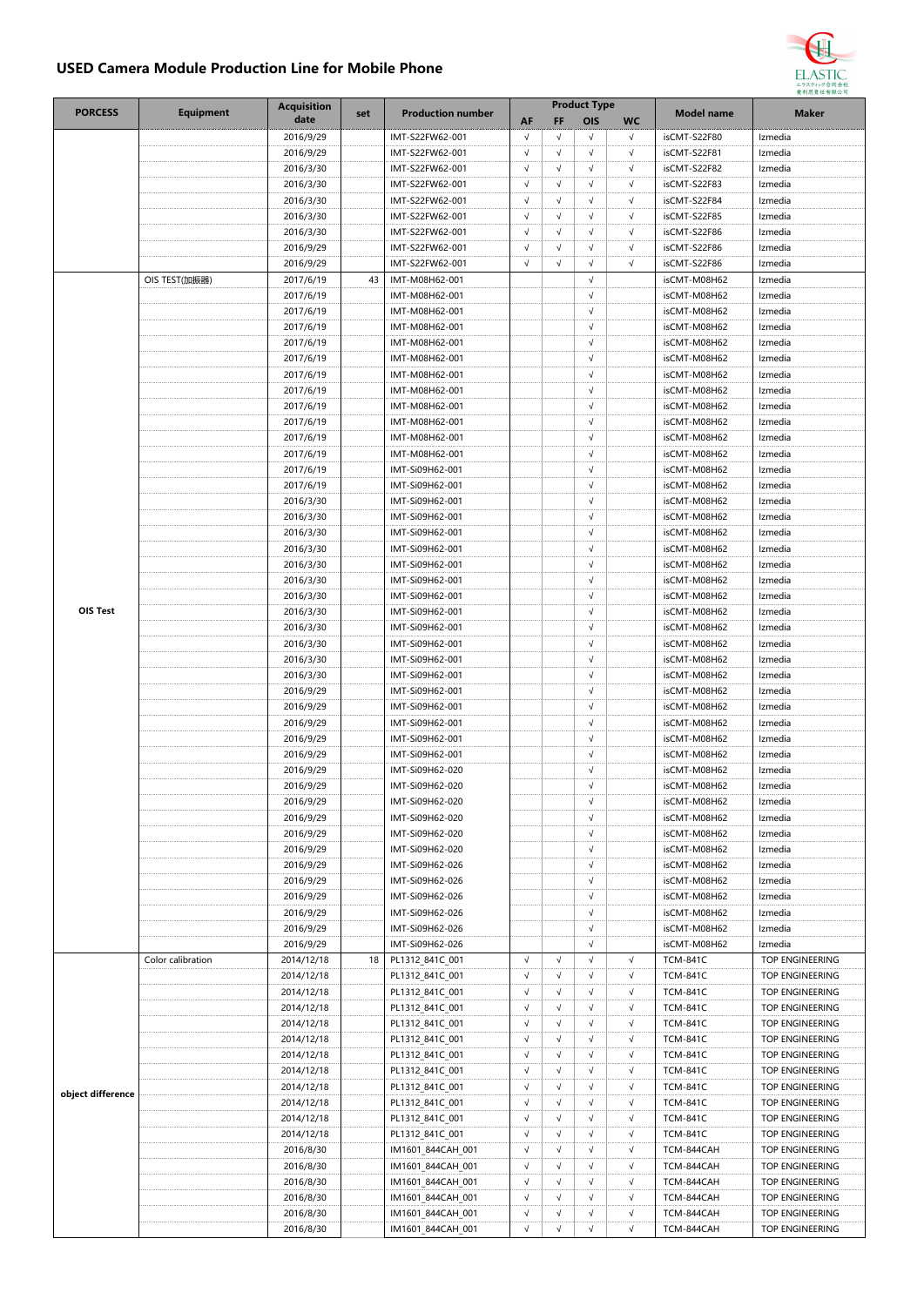## **USED Camera Module Production Line for Mobile Phone**



| <b>PORCESS</b>    | <b>Equipment</b>  | <b>Acquisition</b> | set | <b>Production number</b> |            |            | <b>Product Type</b> |            | Model name      | <b>Maker</b>    |
|-------------------|-------------------|--------------------|-----|--------------------------|------------|------------|---------------------|------------|-----------------|-----------------|
|                   |                   | date               |     |                          | AF         | <b>FF</b>  | OIS                 | <b>WC</b>  |                 |                 |
|                   |                   | 2016/9/29          |     | IMT-S22FW62-001          | $\sqrt{ }$ | $\sqrt{ }$ | $\sqrt{ }$          | $\sqrt{ }$ | isCMT-S22F80    | Izmedia         |
|                   |                   | 2016/9/29          |     | IMT-S22FW62-001          | $\sqrt{}$  | √          | $\sqrt{}$           | $\sqrt{}$  | isCMT-S22F81    | Izmedia         |
|                   |                   | 2016/3/30          |     | IMT-S22FW62-001          | $\sqrt{ }$ | $\sqrt{}$  | $\sqrt{ }$          | $\sqrt{ }$ | isCMT-S22F82    | Izmedia         |
|                   |                   | 2016/3/30          |     | IMT-S22FW62-001          | $\sqrt{ }$ | $\sqrt{}$  | $\sqrt{ }$          | $\sqrt{ }$ | isCMT-S22F83    | Izmedia         |
|                   |                   | 2016/3/30          |     | IMT-S22FW62-001          | $\sqrt{ }$ | √          | $\sqrt{ }$          | $\sqrt{}$  | isCMT-S22F84    | Izmedia         |
|                   |                   | 2016/3/30          |     | IMT-S22FW62-001          | $\sqrt{ }$ | $\sqrt{ }$ | $\sqrt{ }$          | √          | isCMT-S22F85    | Izmedia         |
|                   |                   | 2016/3/30          |     | IMT-S22FW62-001          | $\sqrt{ }$ | $\sqrt{ }$ | $\sqrt{ }$          | $\sqrt{ }$ | isCMT-S22F86    | Izmedia         |
|                   |                   | 2016/9/29          |     | IMT-S22FW62-001          | $\sqrt{ }$ | $\sqrt{ }$ | $\sqrt{}$           | $\sqrt{}$  | isCMT-S22F86    | Izmedia         |
|                   |                   | 2016/9/29          |     | IMT-S22FW62-001          | $\sqrt{ }$ | $\sqrt{ }$ | $\sqrt{ }$          | √          | isCMT-S22F86    | Izmedia         |
|                   | OIS TEST(加振器)     | 2017/6/19          | 43  | IMT-M08H62-001           |            |            | $\sqrt{ }$          |            | isCMT-M08H62    | Izmedia         |
|                   |                   | 2017/6/19          |     | IMT-M08H62-001           |            |            | √                   |            | isCMT-M08H62    | Izmedia         |
|                   |                   | 2017/6/19          |     | IMT-M08H62-001           |            |            | $\sqrt{ }$          |            | isCMT-M08H62    | Izmedia         |
|                   |                   | 2017/6/19          |     | IMT-M08H62-001           |            |            | $\sqrt{}$           |            | isCMT-M08H62    | Izmedia         |
|                   |                   | 2017/6/19          |     | IMT-M08H62-001           |            |            | $\sqrt{ }$          |            | isCMT-M08H62    | Izmedia         |
|                   |                   | 2017/6/19          |     | IMT-M08H62-001           |            |            | $\sqrt{}$           |            | isCMT-M08H62    | Izmedia         |
|                   |                   | 2017/6/19          |     | IMT-M08H62-001           |            |            | $\sqrt{ }$          |            | isCMT-M08H62    | Izmedia         |
|                   |                   | 2017/6/19          |     | IMT-M08H62-001           |            |            | $\sqrt{ }$          |            | isCMT-M08H62    | Izmedia         |
|                   |                   | 2017/6/19          |     | IMT-M08H62-001           |            |            | $\sqrt{}$           |            | isCMT-M08H62    | Izmedia         |
|                   |                   | 2017/6/19          |     | IMT-M08H62-001           |            |            | $\sqrt{ }$          |            | isCMT-M08H62    | Izmedia         |
|                   |                   | 2017/6/19          |     | IMT-M08H62-001           |            |            | $\sqrt{ }$          |            | isCMT-M08H62    | Izmedia         |
|                   |                   | 2017/6/19          |     | IMT-M08H62-001           |            |            | $\sqrt{ }$          |            | isCMT-M08H62    | Izmedia         |
|                   |                   | 2017/6/19          |     | IMT-Si09H62-001          |            |            | $\sqrt{2}$          |            | isCMT-M08H62    | Izmedia         |
|                   |                   | 2017/6/19          |     | IMT-Si09H62-001          |            |            | $\sqrt{}$           |            | isCMT-M08H62    | Izmedia         |
|                   |                   | 2016/3/30          |     | IMT-Si09H62-001          |            |            | $\sqrt{ }$          |            | isCMT-M08H62    | Izmedia         |
|                   |                   | 2016/3/30          |     | IMT-Si09H62-001          |            |            | $\sqrt{ }$          |            | isCMT-M08H62    | Izmedia         |
|                   |                   | 2016/3/30          |     | IMT-Si09H62-001          |            |            | $\sqrt{ }$          |            | isCMT-M08H62    | Izmedia         |
|                   |                   | 2016/3/30          |     | IMT-Si09H62-001          |            |            | $\sqrt{ }$          |            | isCMT-M08H62    | Izmedia         |
|                   |                   | 2016/3/30          |     | IMT-Si09H62-001          |            |            | $\sqrt{}$           |            | isCMT-M08H62    | Izmedia         |
|                   |                   | 2016/3/30          |     | IMT-Si09H62-001          |            |            | $\sqrt{}$           |            | isCMT-M08H62    | Izmedia         |
|                   |                   | 2016/3/30          |     | IMT-Si09H62-001          |            |            | $\sqrt{ }$          |            | isCMT-M08H62    | Izmedia         |
| OIS Test          |                   | 2016/3/30          |     | IMT-Si09H62-001          |            |            | $\sqrt{ }$          |            | isCMT-M08H62    | Izmedia         |
|                   |                   | 2016/3/30          |     | IMT-Si09H62-001          |            |            | $\sqrt{ }$          |            | isCMT-M08H62    | Izmedia         |
|                   |                   | 2016/3/30          |     | IMT-Si09H62-001          |            |            | $\sqrt{}$           |            | isCMT-M08H62    | Izmedia         |
|                   |                   | 2016/3/30          |     | IMT-Si09H62-001          |            |            | $\sqrt{ }$          |            | isCMT-M08H62    | Izmedia         |
|                   |                   | 2016/3/30          |     | IMT-Si09H62-001          |            |            | $\sqrt{}$           |            | isCMT-M08H62    | Izmedia         |
|                   |                   | 2016/9/29          |     | IMT-Si09H62-001          |            |            | $\sqrt{ }$          |            | isCMT-M08H62    | Izmedia         |
|                   |                   | 2016/9/29          |     | IMT-Si09H62-001          |            |            | $\sqrt{ }$          |            | isCMT-M08H62    | Izmedia         |
|                   |                   | 2016/9/29          |     | IMT-Si09H62-001          |            |            | $\sqrt{}$           |            | isCMT-M08H62    | Izmedia         |
|                   |                   | 2016/9/29          |     | IMT-Si09H62-001          |            |            | $\sqrt{}$           |            | isCMT-M08H62    | Izmedia         |
|                   |                   | 2016/9/29          |     | IMT-Si09H62-001          |            |            | $\sqrt{ }$          |            | isCMT-M08H62    | Izmedia         |
|                   |                   | 2016/9/29          |     | IMT-Si09H62-020          |            |            | $\sqrt{ }$          |            | isCMT-M08H62    | Izmedia         |
|                   |                   | 2016/9/29          |     | IMT-Si09H62-020          |            |            | $\sqrt{ }$          |            | isCMT-M08H62    | Izmedia         |
|                   |                   | 2016/9/29          |     | IMT-Si09H62-020          |            |            | $\sqrt{ }$          |            | isCMT-M08H62    | Izmedia         |
|                   |                   | 2016/9/29          |     | IMT-Si09H62-020          |            |            | $\sqrt{ }$          |            | isCMT-M08H62    | Izmedia         |
|                   |                   | 2016/9/29          |     | IMT-Si09H62-020          |            |            | $\sqrt{}$           |            | isCMT-M08H62    | Izmedia         |
|                   |                   | 2016/9/29          |     | IMT-Si09H62-020          |            |            | $\sqrt{ }$          |            | isCMT-M08H62    | Izmedia         |
|                   |                   | 2016/9/29          |     | IMT-Si09H62-026          |            |            | $\sqrt{ }$          |            | isCMT-M08H62    | Izmedia         |
|                   |                   | 2016/9/29          |     | IMT-Si09H62-026          |            |            | $\sqrt{ }$          |            | isCMT-M08H62    | Izmedia         |
|                   |                   | 2016/9/29          |     | IMT-Si09H62-026          |            |            | $\sqrt{}$           |            | isCMT-M08H62    | Izmedia         |
|                   |                   | 2016/9/29          |     | IMT-Si09H62-026          |            |            | $\sqrt{ }$          |            | isCMT-M08H62    | Izmedia         |
|                   |                   | 2016/9/29          |     | IMT-Si09H62-026          |            |            | $\sqrt{ }$          |            | isCMT-M08H62    | Izmedia         |
|                   |                   | 2016/9/29          |     | IMT-Si09H62-026          |            |            | √                   |            | isCMT-M08H62    | Izmedia         |
|                   | Color calibration | 2014/12/18         | 18  | PL1312 841C 001          | $\sqrt{2}$ | $\sqrt{ }$ | $\sqrt{2}$          | $\sqrt{ }$ | <b>TCM-841C</b> | TOP ENGINEERING |
|                   |                   | 2014/12/18         |     | PL1312_841C_001          | $\sqrt{ }$ | $\sqrt{}$  | $\sqrt{}$           | $\sqrt{ }$ | <b>TCM-841C</b> | TOP ENGINEERING |
| object difference |                   | 2014/12/18         |     | PL1312_841C_001          | $\sqrt{}$  | √          | $\sqrt{}$           | $\sqrt{}$  | <b>TCM-841C</b> | TOP ENGINEERING |
|                   |                   | 2014/12/18         |     | PL1312_841C_001          | $\sqrt{}$  | √          | $\sqrt{ }$          | √          | <b>TCM-841C</b> | TOP ENGINEERING |
|                   |                   | 2014/12/18         |     | PL1312_841C_001          | $\sqrt{ }$ | $\sqrt{ }$ | $\sqrt{}$           | $\sqrt{ }$ | <b>TCM-841C</b> | TOP ENGINEERING |
|                   |                   | 2014/12/18         |     | PL1312_841C_001          | $\sqrt{ }$ | $\sqrt{ }$ | $\sqrt{}$           | √          | <b>TCM-841C</b> | TOP ENGINEERING |
|                   |                   | 2014/12/18         |     | PL1312_841C_001          | $\sqrt{ }$ | $\sqrt{}$  | $\sqrt{}$           | √          | <b>TCM-841C</b> | TOP ENGINEERING |
|                   |                   | 2014/12/18         |     | PL1312_841C_001          | $\sqrt{ }$ | $\sqrt{}$  | $\sqrt{}$           | $\sqrt{ }$ | <b>TCM-841C</b> | TOP ENGINEERING |
|                   |                   | 2014/12/18         |     | PL1312_841C_001          | $\sqrt{}$  | $\sqrt{}$  | √                   | $\sqrt{}$  | <b>TCM-841C</b> | TOP ENGINEERING |
|                   |                   | 2014/12/18         |     | PL1312_841C_001          | $\sqrt{}$  | √          | √                   | $\sqrt{}$  | <b>TCM-841C</b> | TOP ENGINEERING |
|                   |                   | 2014/12/18         |     | PL1312_841C_001          | $\sqrt{ }$ | $\sqrt{}$  | $\sqrt{}$           | $\sqrt{ }$ | <b>TCM-841C</b> | TOP ENGINEERING |
|                   |                   | 2014/12/18         |     | PL1312_841C_001          | $\sqrt{ }$ | $\sqrt{}$  | $\sqrt{}$           | $\sqrt{ }$ | <b>TCM-841C</b> | TOP ENGINEERING |
|                   |                   | 2016/8/30          |     | IM1601_844CAH_001        | $\sqrt{ }$ | √          | $\sqrt{}$           | $\sqrt{}$  | TCM-844CAH      | TOP ENGINEERING |
|                   |                   | 2016/8/30          |     | IM1601_844CAH_001        | $\sqrt{}$  | √          | $\sqrt{ }$          | √          | TCM-844CAH      | TOP ENGINEERING |
|                   |                   | 2016/8/30          |     | IM1601_844CAH_001        | $\sqrt{ }$ | $\sqrt{ }$ | $\sqrt{ }$          | $\sqrt{ }$ | TCM-844CAH      | TOP ENGINEERING |
|                   |                   | 2016/8/30          |     | IM1601_844CAH_001        | $\sqrt{ }$ | $\sqrt{}$  | $\sqrt{}$           | √          | TCM-844CAH      | TOP ENGINEERING |
|                   |                   | 2016/8/30          |     | IM1601_844CAH_001        | $\sqrt{}$  | $\sqrt{ }$ | $\sqrt{}$           | √          | TCM-844CAH      | TOP ENGINEERING |
|                   |                   | 2016/8/30          |     | IM1601_844CAH_001        | $\sqrt{}$  | $\sqrt{}$  | $\sqrt{ }$          | $\sqrt{}$  | TCM-844CAH      | TOP ENGINEERING |